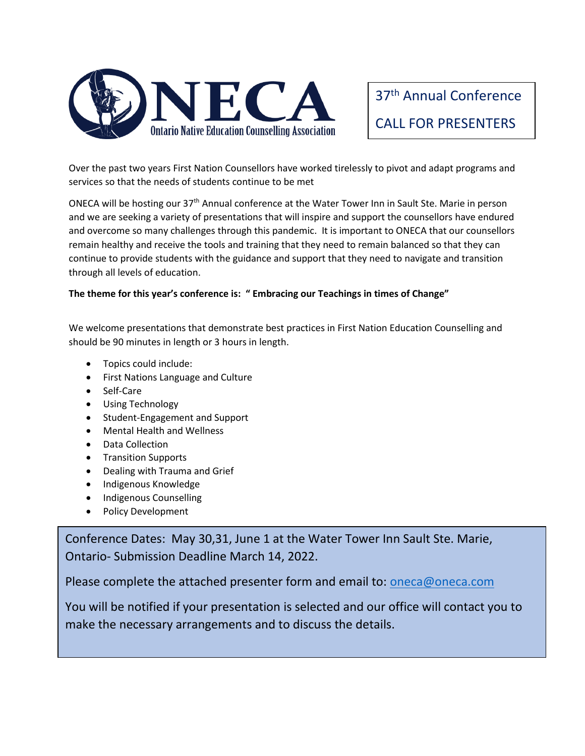

37th Annual Conference CALL FOR PRESENTERS

Over the past two years First Nation Counsellors have worked tirelessly to pivot and adapt programs and services so that the needs of students continue to be met

ONECA will be hosting our 37th Annual conference at the Water Tower Inn in Sault Ste. Marie in person and we are seeking a variety of presentations that will inspire and support the counsellors have endured and overcome so many challenges through this pandemic. It is important to ONECA that our counsellors remain healthy and receive the tools and training that they need to remain balanced so that they can continue to provide students with the guidance and support that they need to navigate and transition through all levels of education.

### **The theme for this year's conference is: " Embracing our Teachings in times of Change"**

We welcome presentations that demonstrate best practices in First Nation Education Counselling and should be 90 minutes in length or 3 hours in length.

- Topics could include:
- First Nations Language and Culture
- Self-Care
- Using Technology
- Student-Engagement and Support
- Mental Health and Wellness
- Data Collection
- Transition Supports
- Dealing with Trauma and Grief
- Indigenous Knowledge
- Indigenous Counselling
- Policy Development

Conference Dates: May 30,31, June 1 at the Water Tower Inn Sault Ste. Marie, Ontario- Submission Deadline March 14, 2022.

Please complete the attached presenter form and email to: [oneca@oneca.com](mailto:oneca@oneca.com)

You will be notified if your presentation is selected and our office will contact you to make the necessary arrangements and to discuss the details.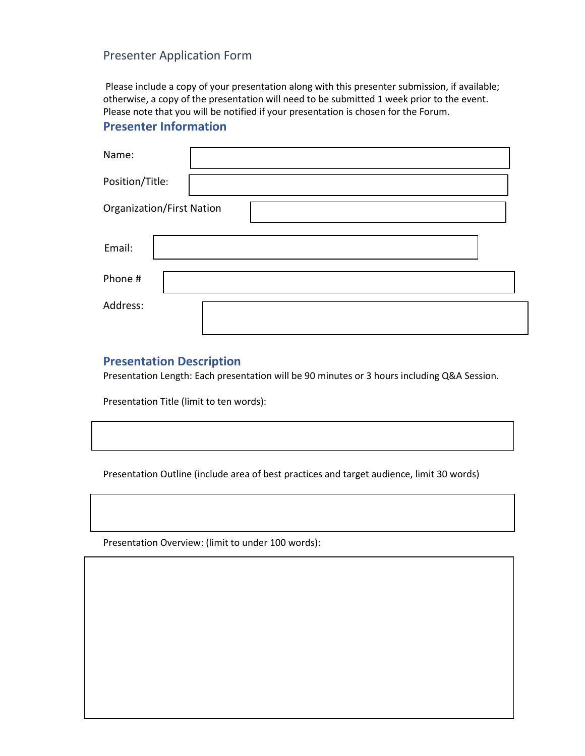## Presenter Application Form

Please include a copy of your presentation along with this presenter submission, if available; otherwise, a copy of the presentation will need to be submitted 1 week prior to the event. Please note that you will be notified if your presentation is chosen for the Forum.

# **Presenter Information**

| Name:                            |  |
|----------------------------------|--|
| Position/Title:                  |  |
| <b>Organization/First Nation</b> |  |
| Email:                           |  |
| Phone #                          |  |
| Address:                         |  |

## **Presentation Description**

Presentation Length: Each presentation will be 90 minutes or 3 hours including Q&A Session.

Presentation Title (limit to ten words):

Presentation Outline (include area of best practices and target audience, limit 30 words)

Presentation Overview: (limit to under 100 words):